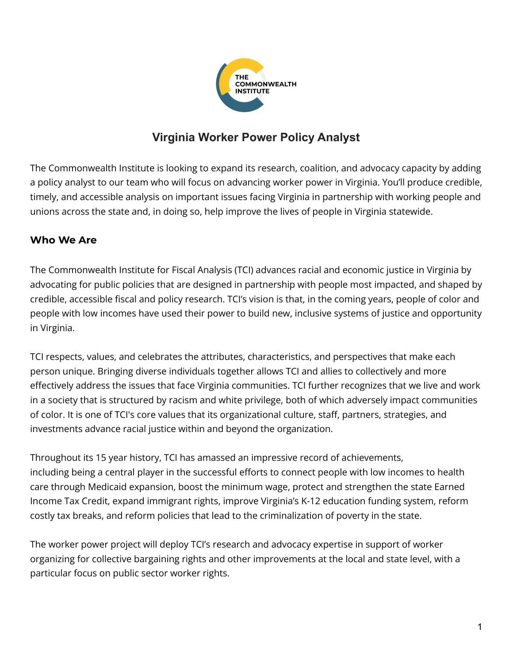

# **Virginia Worker Power Policy Analyst**

The Commonwealth Institute is looking to expand its research, coalition, and advocacy capacity by adding a policy analyst to our team who will focus on advancing worker power in Virginia. You'll produce credible, timely, and accessible analysis on important issues facing Virginia in partnership with working people and unions across the state and, in doing so, help improve the lives of people in Virginia statewide.

# **Who We Are**

The Commonwealth Institute for Fiscal Analysis (TCI) advances racial and economic justice in Virginia by advocating for public policies that are designed in partnership with people most impacted, and shaped by credible, accessible fiscal and policy research. TCI's vision is that, in the coming years, people of color and people with low incomes have used their power to build new, inclusive systems of justice and opportunity in Virginia.

TCI respects, values, and celebrates the attributes, characteristics, and perspectives that make each person unique. Bringing diverse individuals together allows TCI and allies to collectively and more effectively address the issues that face Virginia communities. TCI further recognizes that we live and work in a society that is structured by racism and white privilege, both of which adversely impact communities of color. It is one of TCI's core values that its organizational culture, staff, partners, strategies, and investments advance racial justice within and beyond the organization.

Throughout its 15 year history, TCI has amassed an impressive record of achievements, including being a central player in the successful efforts to connect people with low incomes to health care through Medicaid expansion, boost the minimum wage, protect and strengthen the state Earned Income Tax Credit, expand immigrant rights, improve Virginia's K-12 education funding system, reform costly tax breaks, and reform policies that lead to the criminalization of poverty in the state.

The worker power project will deploy TCI's research and advocacy expertise in support of worker organizing for collective bargaining rights and other improvements at the local and state level, with a particular focus on public sector worker rights.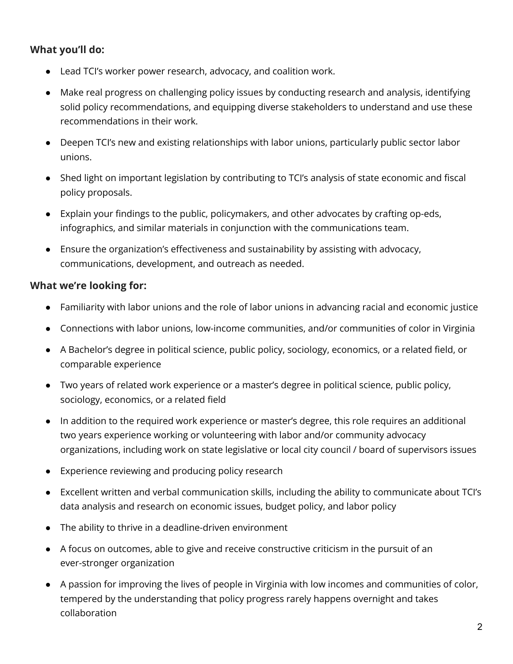# **What you'll do:**

- Lead TCI's worker power research, advocacy, and coalition work.
- Make real progress on challenging policy issues by conducting research and analysis, identifying solid policy recommendations, and equipping diverse stakeholders to understand and use these recommendations in their work.
- Deepen TCI's new and existing relationships with labor unions, particularly public sector labor unions.
- Shed light on important legislation by contributing to TCI's analysis of state economic and fiscal policy proposals.
- Explain your findings to the public, policymakers, and other advocates by crafting op-eds, infographics, and similar materials in conjunction with the communications team.
- Ensure the organization's effectiveness and sustainability by assisting with advocacy, communications, development, and outreach as needed.

# **What we're looking for:**

- Familiarity with labor unions and the role of labor unions in advancing racial and economic justice
- Connections with labor unions, low-income communities, and/or communities of color in Virginia
- A Bachelor's degree in political science, public policy, sociology, economics, or a related field, or comparable experience
- Two years of related work experience or a master's degree in political science, public policy, sociology, economics, or a related field
- In addition to the required work experience or master's degree, this role requires an additional two years experience working or volunteering with labor and/or community advocacy organizations, including work on state legislative or local city council / board of supervisors issues
- Experience reviewing and producing policy research
- Excellent written and verbal communication skills, including the ability to communicate about TCI's data analysis and research on economic issues, budget policy, and labor policy
- The ability to thrive in a deadline-driven environment
- A focus on outcomes, able to give and receive constructive criticism in the pursuit of an ever-stronger organization
- A passion for improving the lives of people in Virginia with low incomes and communities of color, tempered by the understanding that policy progress rarely happens overnight and takes collaboration